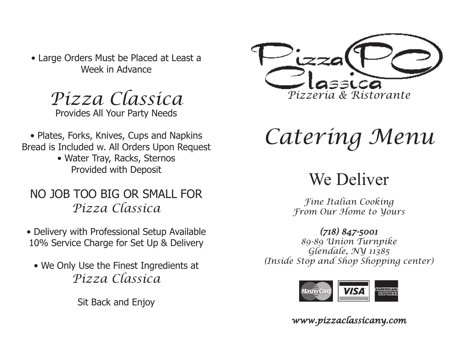• Large Orders Must be Placed at Least a Week in Advance

*Pizza Classica* Provides All Your Party Needs

• Plates, Forks, Knives, Cups and Napkins Bread is Included w. All Orders Upon Request

> • Water Tray, Racks, Sternos Provided with Deposit

### NO JOB TOO BIG OR SMALL FOR *Pizza Classica*

- Delivery with Professional Setup Available 10% Service Charge for Set Up & Delivery
	- We Only Use the Finest Ingredients at *Pizza Classica*

Sit Back and Enjoy



# *Catering Menu*

# We Deliver

*Fine Italian Cooking From Our Home to Yours*

*(718) 847-5001 89-89 Union Turnpike Glendale, NY 11385 (Inside Stop and Shop Shopping center)*



*www.pizzaclassicany.com*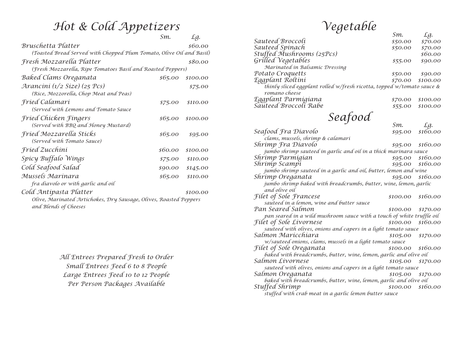### $Hot$  & Cold Appetizers

|                                                                      | Sm.     | Lg.      |
|----------------------------------------------------------------------|---------|----------|
| Bruschetta Platter                                                   |         | \$60.00  |
| (Toasted Bread Served with Chopped Plum Tomato, Olive Oil and Basil) |         |          |
| Fresh Mozzarella Platter                                             |         | \$80.00  |
| (Fresh Mozzarella, Ripe Tomatoes Basil and Roasted Peppers)          |         |          |
| Baked Clams Oreganata                                                | \$65.00 | \$100.00 |
| Arancini (1/2 Size) (25 Pcs)                                         |         | \$75.00  |
| (Rice, Mozzorella, Chop Meat and Peas)                               |         |          |
| Fried Calamari                                                       | \$75.00 | \$110.00 |
| (Served with Lemons and Tomato Sauce                                 |         |          |
| Fried Chicken Fingers                                                | \$65.00 | \$100.00 |
| (Served with BBQ and Honey Mustard)                                  |         |          |
| Fried Mozzarella Sticks                                              | \$65.00 | \$95.00  |
| (Served with Tomato Sauce)                                           |         |          |
| Fried Zucchini                                                       | \$60.00 | \$100.00 |
| Spicy Buffalo Wings                                                  | \$75.00 | \$110.00 |
| Cold Seafood Salad                                                   | \$90.00 | \$145.00 |
| Mussels Marinara                                                     | \$65.00 | \$110.00 |
| fra diavolo or with garlic and oil                                   |         |          |
| Cold Antipasta Platter                                               |         | \$100.00 |
| Olive, Marinated Artichokes, Dry Sausage, Olives, Roasted Peppers    |         |          |
| and Blends of Cheeses                                                |         |          |

*All Entrees Prepared Fresh to Order Small Entrees Feed 6 to 8 People Large Entrees Feed 10 to 12 People Per Person Packages Available*

## $Vegetable$ <sub>*Sm.</sub> <i>Lg.*</sub>

|                                                                        | SM.     | Ly.      |  |
|------------------------------------------------------------------------|---------|----------|--|
| Sauteed Broccoli                                                       | \$50.00 | \$70.00  |  |
|                                                                        | \$50.00 | \$70.00  |  |
| Sauteed Spinach<br>Stuffed Mushrooms (25Pcs)                           |         | \$60.00  |  |
| Grilled Vegetables                                                     | \$55.00 | \$90.00  |  |
| Marinated in Balsamic Dressing                                         |         |          |  |
| Potato Croquetts                                                       | \$50.00 | \$90.00  |  |
| Eggplant Roltini                                                       | \$70.00 | \$100.00 |  |
| thinly sliced eggplant rolled w/fresh ricotta, topped w/tomato sauce & |         |          |  |
| romano cheese                                                          |         |          |  |
| Eggplant Parmigiana<br>Sauteed Broccoli Rabe                           | \$70.00 | \$100.00 |  |
|                                                                        | \$55.00 | \$100.00 |  |
|                                                                        |         |          |  |

*Seafood* Sm. *Seafood* 

|                                                                       | SM.                 | Lу.                 |
|-----------------------------------------------------------------------|---------------------|---------------------|
| Seafood Fra Diavolo                                                   | \$95.00             | \$160.00            |
| clams, mussels, shrimp & calamari                                     |                     |                     |
| Shrimp Fra Diavolo                                                    |                     | \$95.00 \$160.00    |
| jumbo shrimp sauteed in garlic and oil in a thick marinara sauce      |                     |                     |
| Shrimp Parmigian                                                      |                     | \$95.00 \$160.00    |
| Shrimp Scampi                                                         |                     | \$95.00 \$160.00    |
| jumbo shrimp sauteed in a garlic and oil, butter, lemon and wine      |                     |                     |
| Shrimp Oreganata                                                      |                     | $$95.00$ $$160.00$  |
| jumbo shrimp baked with breadcrumbs, butter, wine, lemon, garlic      |                     |                     |
| and olive oil                                                         |                     |                     |
| Filet of Sole Francese                                                | \$100.00            | \$160.00            |
| sauteed in a lemon, wine and butter sauce                             |                     |                     |
| Pan Seared Salmon                                                     | \$100.00            | \$170.00            |
| pan seared in a wild mushroom sauce with a touch of white truffle oil |                     |                     |
| <i>Filet of Sole Livornese</i>                                        | $$100.00$ $$160.00$ |                     |
| sauteed with olives, onions and capers in a light tomato sauce        |                     |                     |
| Salmon Maricchiara                                                    |                     | \$105.00 \$170.00   |
| w/sauteed onions, clams, mussels in a light tomato sauce              |                     |                     |
| Filet of Sole Oreganata                                               | \$100.00 \$160.00   |                     |
| baked with breadcrumbs, butter, wine, lemon, garlic and olive oil     |                     |                     |
| Salmon Livornese                                                      |                     | $$105.00$ $$170.00$ |
| sauteed with olives, onions and capers in a light tomato sauce        |                     |                     |
| Salmon Oreganata                                                      |                     | $$105.00$ $$170.00$ |
| baked with breadcrumbs, butter, wine, lemon, garlic and olive oil     |                     |                     |
| Stuffed Shrimp                                                        | \$100.00            | \$160.00            |
| stuffed with crab meat in a garlic lemon butter sauce                 |                     |                     |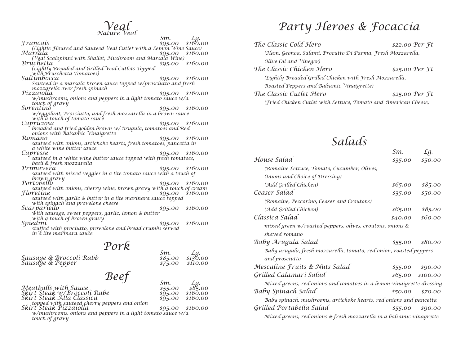# *Veal Nature Veal Sm. Lg. Francais \$95.00 \$160.00*

|                                                                     | $Sm$ .  | Lg.              |
|---------------------------------------------------------------------|---------|------------------|
| Francais                                                            | \$95.00 | \$160.00         |
| (Lightle Floured and Sauteed Veal Cutlet with a Lemon Wine Sauce)   |         |                  |
| Marsala                                                             | \$95.00 | \$160.00         |
| (Veal Scalopinni with Shallot, Mushroom and Marsala Wine)           |         |                  |
| Bruchetta                                                           | \$95.00 | \$160.00         |
| (Lightly Breaded and Grilled Veal Cutlets Topped                    |         |                  |
| with Bruschetta Tomatoes)                                           |         |                  |
| Saltímbocca                                                         | \$95.00 | \$160.00         |
| Sauteed in a marsala brown sauce topped w/prosciutto and fresh      |         |                  |
| mozząrella over fresh spinach                                       |         |                  |
| Pizzaiolla                                                          |         | \$95.00 \$160.00 |
| w/mushrooms, onions and peppers in a light tomato sauce w/a         |         |                  |
| touch of gravy                                                      |         |                  |
| Sorentino                                                           | \$95.00 | \$160.00         |
| w/eggplant, Prosciutto, and fresh mozzarella in a brown sauce       |         |                  |
| with a touch of tomato sauce                                        |         |                  |
| Capriciosa                                                          | \$95.00 | \$160.00         |
| breaded and fried golden brown w/Arugula, tomatoes and Red          |         |                  |
| onions with Balsamic Vinaigrette                                    |         |                  |
| Romano                                                              | \$95.00 | \$160.00         |
| sauteed with onions, artichoke hearts, fresh tomatoes, pancetta in  |         |                  |
| a white wine butter sauce                                           |         |                  |
| Capresse                                                            |         | \$95.00 \$160.00 |
| sauteed in a white wine butter sauce topped with fresh tomatoes,    |         |                  |
| basil & fresh mozzarella                                            |         |                  |
| Primaveřa                                                           | \$95.00 | \$160.00         |
| sauteed with mixed veggies in a lite tomato sauce with a touch of   |         |                  |
|                                                                     |         |                  |
| brown gravy<br>Portobello                                           |         | \$160.00         |
| sauteed with onions, cherry wine, brown gravy with a touch of cream | \$95.00 |                  |
| Floretine                                                           |         |                  |
|                                                                     | \$95.00 | \$160.00         |
| sauteed with garlic & butter in a lite marinara sauce topped        |         |                  |
| with spingch and provelone cheese                                   |         | \$160.00         |
| Scarpariello                                                        | \$95.00 |                  |
| with sausage, sweet peppers, garlic, lemon & butter                 |         |                  |
| with a touch of brown gravy                                         |         |                  |
| Spiedini                                                            | \$95.00 | \$160.00         |
| stuffed with prociutto, provolone and bread crumbs served           |         |                  |

*in a lite marinara sauce*

| Sausage & Broccoli Rabb<br>Sausage & Pepper                                                                                                                                                                                                 | Pork | Sm.<br>\$85.00<br>\$75.00                       | Lg.<br>\$130.00<br>\$110.00                        |
|---------------------------------------------------------------------------------------------------------------------------------------------------------------------------------------------------------------------------------------------|------|-------------------------------------------------|----------------------------------------------------|
| Meatballs with Sauce<br>Skirt Steak w/Broccoli Rabe<br>Skirt Steak Alla Classica<br>topped with sauteed cherry peppers and onion<br>Skirt Steak Pizzaiolla<br>w/mushrooms, onions and peppers in a light tomato sauce w/a<br>touch of gravy | Beef | Sm.<br>\$55.00<br>\$95.00<br>\$95.00<br>\$95.00 | Lg.<br>\$85.00<br>\$160.00<br>\$160.00<br>\$160.00 |

### *Party Heroes & Focaccia*

| The Classic Cold Hero                                           | \$22.00 Per ft  |  |  |
|-----------------------------------------------------------------|-----------------|--|--|
| (Ham, Geonoa, Salami, Procutto Di Parma, Fresh Mozzarella,      |                 |  |  |
| Olive Oil and Vineger)                                          |                 |  |  |
| The Classic Chicken Hero                                        | $$25.00$ Per Ft |  |  |
| (Lightly Breaded Grilled Chicken with Fresh Mozzarella,         |                 |  |  |
| Roasted Peppers and Balsamic Vinaigrette)                       |                 |  |  |
| The Classic Cutlet Hero                                         | $$25.00$ Per Ft |  |  |
| (Fried Chicken Cutlet with Lettuce, Tomato and American Cheese) |                 |  |  |

# *Salads Sm. Lg.*

|                                                                       | .9111   | ∠y.               |
|-----------------------------------------------------------------------|---------|-------------------|
| House Salad                                                           | \$35.00 | \$50.00           |
| (Romaine Lettuce, Tomato, Cucumber, Olives,                           |         |                   |
| Onions and Choice of Dressing)                                        |         |                   |
| (Add Grilled Chicken)                                                 | \$65.00 | \$85.00           |
| Ceaser Salad                                                          | \$35.00 | \$50.00           |
| (Romaine, Peccorino, Ceaser and Croutons)                             |         |                   |
| (Add Grilled Chicken)                                                 | \$65.00 | \$85.00           |
| Classica Salad                                                        | \$40.00 | \$60.00           |
| mixed green w/roasted peppers, olives, croutons, onions &             |         |                   |
| shaved romano                                                         |         |                   |
| Baby Arugula Salad                                                    | \$55.00 | \$80.00           |
| Baby arugula, fresh mozzarella, tomato, red onion, roasted peppers    |         |                   |
| and prosciutto                                                        |         |                   |
| Mescaline Fruits & Nuts Salad                                         | \$55.00 | \$90.00           |
| Grilled Calamari Salad                                                |         | $$65.00$ \$100.00 |
| Mixed greens, red onions and tomatoes in a lemon vinaigrette dressing |         |                   |
| Baby Spinach Salad                                                    | \$50.00 | \$70.00           |
| Baby spinach, mushrooms, artichoke hearts, red onions and pancetta    |         |                   |
| Grilled Portabella Salad                                              | \$55.00 | \$90.00           |
| Mixed greens, red onions & fresh mozzarella in a balsamic vinagrette  |         |                   |